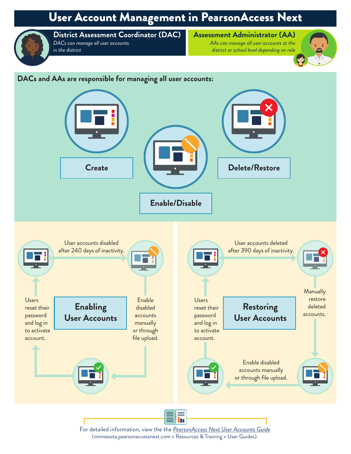## User Account Management in PearsonAccess Next



**District Assessment Coordinator (DAC)** *DACs can manage all user accounts in the district*

## **Assessment Administrator (AA)**

*AAs can manage all user accounts at the district or school level depending on role*



## **DACs and AAs are responsible for managing all user accounts:**



For detailed information, view the the *[PearsonAccess Next User Accounts Guide](http://minnesota.pearsonaccessnext.com/user-guides/)* (minnesota.pearsonaccessnext.com > Resources & Training > User Guides).